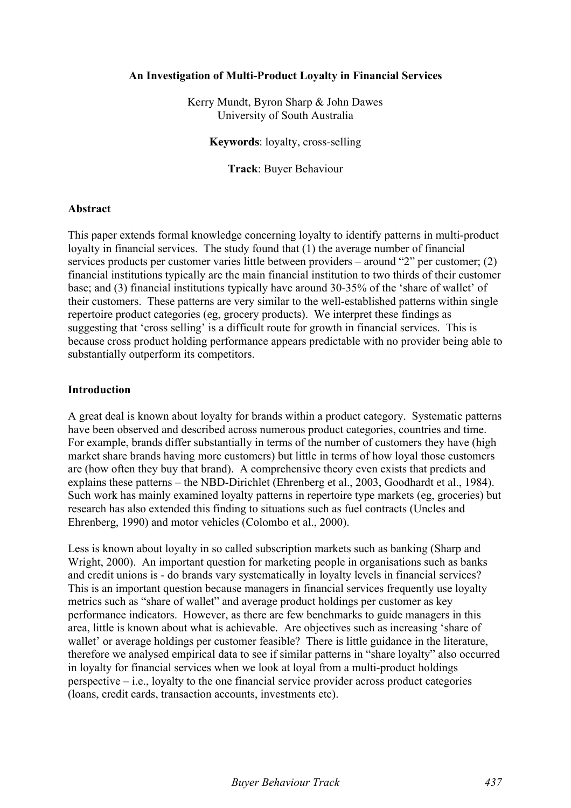## **An Investigation of Multi-Product Loyalty in Financial Services**

Kerry Mundt, Byron Sharp & John Dawes University of South Australia

**Keywords**: loyalty, cross-selling

**Track**: Buyer Behaviour

## **Abstract**

This paper extends formal knowledge concerning loyalty to identify patterns in multi-product loyalty in financial services. The study found that (1) the average number of financial services products per customer varies little between providers – around "2" per customer; (2) financial institutions typically are the main financial institution to two thirds of their customer base; and (3) financial institutions typically have around 30-35% of the 'share of wallet' of their customers. These patterns are very similar to the well-established patterns within single repertoire product categories (eg, grocery products). We interpret these findings as suggesting that 'cross selling' is a difficult route for growth in financial services. This is because cross product holding performance appears predictable with no provider being able to substantially outperform its competitors.

## **Introduction**

A great deal is known about loyalty for brands within a product category. Systematic patterns have been observed and described across numerous product categories, countries and time. For example, brands differ substantially in terms of the number of customers they have (high market share brands having more customers) but little in terms of how loyal those customers are (how often they buy that brand). A comprehensive theory even exists that predicts and explains these patterns – the NBD-Dirichlet (Ehrenberg et al., 2003, Goodhardt et al., 1984). Such work has mainly examined loyalty patterns in repertoire type markets (eg, groceries) but research has also extended this finding to situations such as fuel contracts (Uncles and Ehrenberg, 1990) and motor vehicles (Colombo et al., 2000).

Less is known about loyalty in so called subscription markets such as banking (Sharp and Wright, 2000). An important question for marketing people in organisations such as banks and credit unions is - do brands vary systematically in loyalty levels in financial services? This is an important question because managers in financial services frequently use loyalty metrics such as "share of wallet" and average product holdings per customer as key performance indicators. However, as there are few benchmarks to guide managers in this area, little is known about what is achievable. Are objectives such as increasing 'share of wallet' or average holdings per customer feasible? There is little guidance in the literature, therefore we analysed empirical data to see if similar patterns in "share loyalty" also occurred in loyalty for financial services when we look at loyal from a multi-product holdings perspective – i.e., loyalty to the one financial service provider across product categories (loans, credit cards, transaction accounts, investments etc).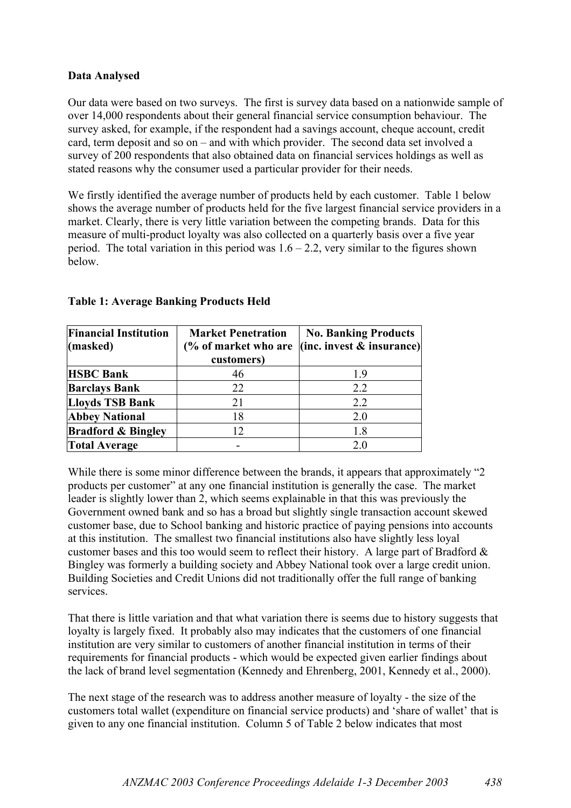# **Data Analysed**

Our data were based on two surveys. The first is survey data based on a nationwide sample of over 14,000 respondents about their general financial service consumption behaviour. The survey asked, for example, if the respondent had a savings account, cheque account, credit card, term deposit and so on – and with which provider. The second data set involved a survey of 200 respondents that also obtained data on financial services holdings as well as stated reasons why the consumer used a particular provider for their needs.

We firstly identified the average number of products held by each customer. Table 1 below shows the average number of products held for the five largest financial service providers in a market. Clearly, there is very little variation between the competing brands. Data for this measure of multi-product loyalty was also collected on a quarterly basis over a five year period. The total variation in this period was  $1.6 - 2.2$ , very similar to the figures shown below.

| <b>Financial Institution</b><br>(masked) | <b>Market Penetration</b><br>(% of market who are<br>customers) | <b>No. Banking Products</b><br>$ $ (inc. invest $\&$ insurance) $ $ |  |
|------------------------------------------|-----------------------------------------------------------------|---------------------------------------------------------------------|--|
| <b>HSBC Bank</b>                         | 46                                                              | 19                                                                  |  |
| <b>Barclays Bank</b>                     | 22                                                              | 2.2                                                                 |  |
| <b>Lloyds TSB Bank</b>                   | 21                                                              | 2.2                                                                 |  |
| <b>Abbey National</b>                    | 18                                                              | 2.0                                                                 |  |
| <b>Bradford &amp; Bingley</b>            | 12                                                              | 1.8                                                                 |  |
| <b>Total Average</b>                     |                                                                 | 2.0                                                                 |  |

# **Table 1: Average Banking Products Held**

While there is some minor difference between the brands, it appears that approximately "2" products per customer" at any one financial institution is generally the case. The market leader is slightly lower than 2, which seems explainable in that this was previously the Government owned bank and so has a broad but slightly single transaction account skewed customer base, due to School banking and historic practice of paying pensions into accounts at this institution. The smallest two financial institutions also have slightly less loyal customer bases and this too would seem to reflect their history. A large part of Bradford & Bingley was formerly a building society and Abbey National took over a large credit union. Building Societies and Credit Unions did not traditionally offer the full range of banking services.

That there is little variation and that what variation there is seems due to history suggests that loyalty is largely fixed. It probably also may indicates that the customers of one financial institution are very similar to customers of another financial institution in terms of their requirements for financial products - which would be expected given earlier findings about the lack of brand level segmentation (Kennedy and Ehrenberg, 2001, Kennedy et al., 2000).

The next stage of the research was to address another measure of loyalty - the size of the customers total wallet (expenditure on financial service products) and 'share of wallet' that is given to any one financial institution. Column 5 of Table 2 below indicates that most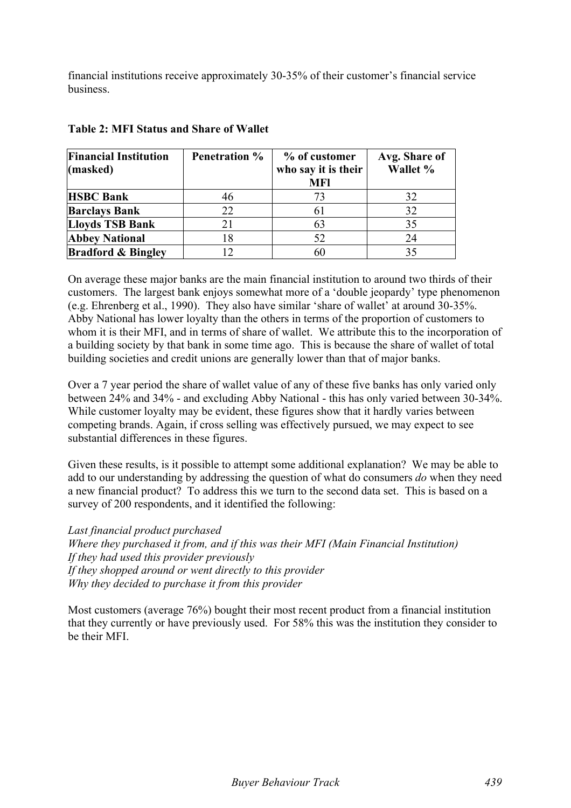financial institutions receive approximately 30-35% of their customer's financial service business.

| <b>Financial Institution</b><br>(masked) | <b>Penetration %</b> | % of customer<br>who say it is their | Avg. Share of<br>Wallet % |  |
|------------------------------------------|----------------------|--------------------------------------|---------------------------|--|
|                                          |                      | <b>MFI</b>                           |                           |  |
| <b>HSBC Bank</b>                         | 46                   | 73                                   | 32                        |  |
| <b>Barclays Bank</b>                     | 22                   | 61                                   | 32                        |  |
| Lloyds TSB Bank                          | 21                   | 63                                   | 35                        |  |
| <b>Abbey National</b>                    | 18                   | 52                                   | 24                        |  |
| <b>Bradford &amp; Bingley</b>            |                      | 60                                   | 35                        |  |

## **Table 2: MFI Status and Share of Wallet**

On average these major banks are the main financial institution to around two thirds of their customers. The largest bank enjoys somewhat more of a 'double jeopardy' type phenomenon (e.g. Ehrenberg et al., 1990). They also have similar 'share of wallet' at around 30-35%. Abby National has lower loyalty than the others in terms of the proportion of customers to whom it is their MFI, and in terms of share of wallet. We attribute this to the incorporation of a building society by that bank in some time ago. This is because the share of wallet of total building societies and credit unions are generally lower than that of major banks.

Over a 7 year period the share of wallet value of any of these five banks has only varied only between 24% and 34% - and excluding Abby National - this has only varied between 30-34%. While customer loyalty may be evident, these figures show that it hardly varies between competing brands. Again, if cross selling was effectively pursued, we may expect to see substantial differences in these figures.

Given these results, is it possible to attempt some additional explanation? We may be able to add to our understanding by addressing the question of what do consumers *do* when they need a new financial product? To address this we turn to the second data set. This is based on a survey of 200 respondents, and it identified the following:

#### *Last financial product purchased*

*Where they purchased it from, and if this was their MFI (Main Financial Institution) If they had used this provider previously If they shopped around or went directly to this provider Why they decided to purchase it from this provider*

Most customers (average 76%) bought their most recent product from a financial institution that they currently or have previously used. For 58% this was the institution they consider to be their MFI.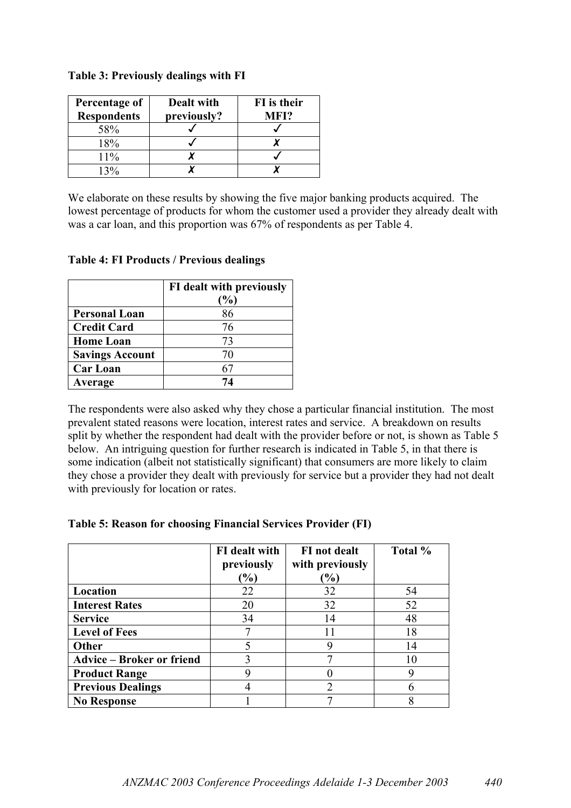| Percentage of      | Dealt with  | FI is their |
|--------------------|-------------|-------------|
| <b>Respondents</b> | previously? | MFI?        |
| 58%                |             |             |
| 18%                |             |             |
| 11%                |             |             |
|                    |             |             |

#### **Table 3: Previously dealings with FI**

We elaborate on these results by showing the five major banking products acquired. The lowest percentage of products for whom the customer used a provider they already dealt with was a car loan, and this proportion was 67% of respondents as per Table 4.

|                        | FI dealt with previously<br>$\%$ |  |  |  |  |
|------------------------|----------------------------------|--|--|--|--|
| <b>Personal Loan</b>   | 86                               |  |  |  |  |
| <b>Credit Card</b>     | 76                               |  |  |  |  |
| <b>Home Loan</b>       | 73                               |  |  |  |  |
| <b>Savings Account</b> | 70                               |  |  |  |  |
| <b>Car Loan</b>        | 61                               |  |  |  |  |
| Average                | 74                               |  |  |  |  |

#### **Table 4: FI Products / Previous dealings**

The respondents were also asked why they chose a particular financial institution. The most prevalent stated reasons were location, interest rates and service. A breakdown on results split by whether the respondent had dealt with the provider before or not, is shown as Table 5 below. An intriguing question for further research is indicated in Table 5, in that there is some indication (albeit not statistically significant) that consumers are more likely to claim they chose a provider they dealt with previously for service but a provider they had not dealt with previously for location or rates.

|  |  |  | Table 5: Reason for choosing Financial Services Provider (FI) |  |
|--|--|--|---------------------------------------------------------------|--|
|  |  |  |                                                               |  |

|                                  | <b>FI</b> dealt with<br>previously<br>$\frac{9}{6}$ | FI not dealt<br>with previously<br>$\mathcal{O}_0$ | Total % |
|----------------------------------|-----------------------------------------------------|----------------------------------------------------|---------|
| Location                         | 22                                                  | 32                                                 | 54      |
| <b>Interest Rates</b>            | 20                                                  | 32                                                 | 52      |
| <b>Service</b>                   | 34                                                  | 14                                                 | 48      |
| <b>Level of Fees</b>             |                                                     |                                                    | 18      |
| Other                            |                                                     | g                                                  | 14      |
| <b>Advice – Broker or friend</b> | 3                                                   | 7                                                  |         |
| <b>Product Range</b>             |                                                     |                                                    |         |
| <b>Previous Dealings</b>         |                                                     | $\overline{2}$                                     |         |
| <b>No Response</b>               |                                                     |                                                    |         |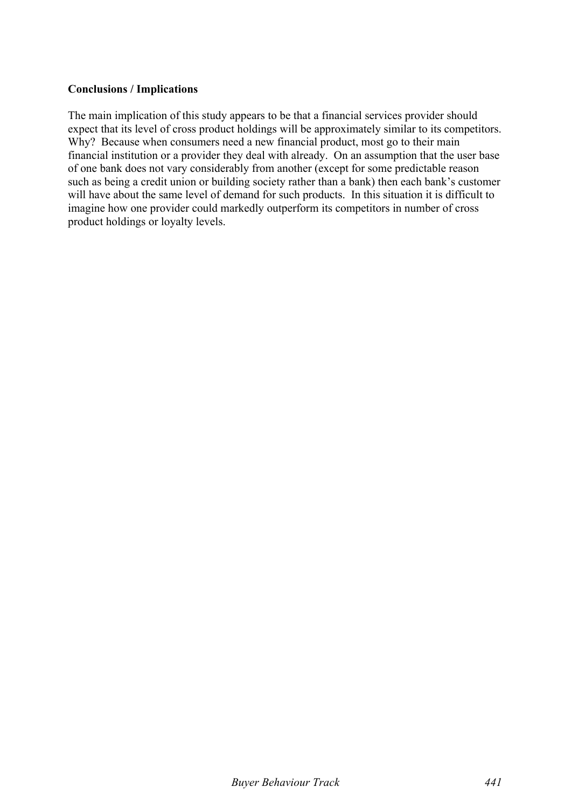## **Conclusions / Implications**

The main implication of this study appears to be that a financial services provider should expect that its level of cross product holdings will be approximately similar to its competitors. Why? Because when consumers need a new financial product, most go to their main financial institution or a provider they deal with already. On an assumption that the user base of one bank does not vary considerably from another (except for some predictable reason such as being a credit union or building society rather than a bank) then each bank's customer will have about the same level of demand for such products. In this situation it is difficult to imagine how one provider could markedly outperform its competitors in number of cross product holdings or loyalty levels.